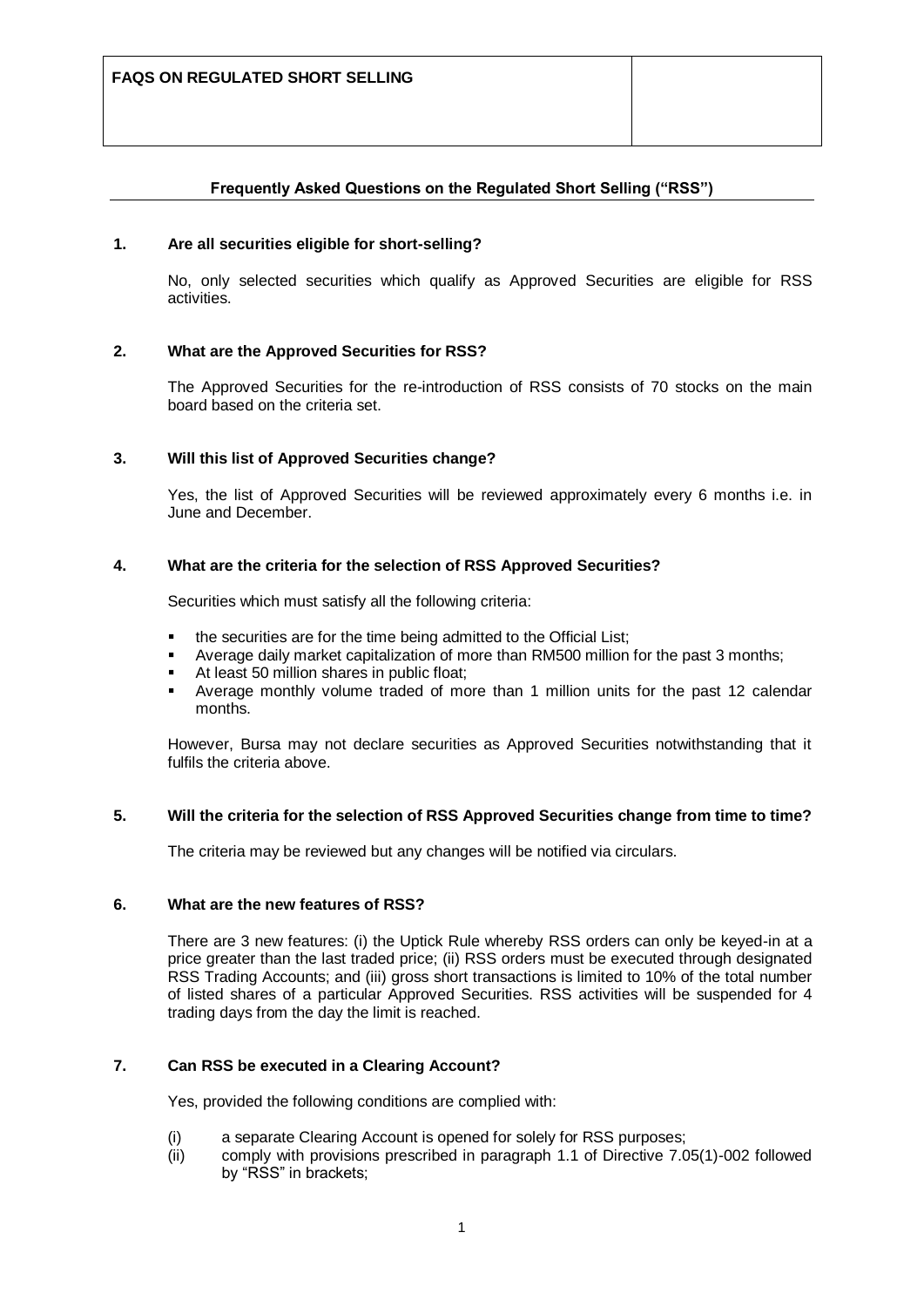### **Frequently Asked Questions on the Regulated Short Selling ("RSS")**

#### **1. Are all securities eligible for short-selling?**

No, only selected securities which qualify as Approved Securities are eligible for RSS activities.

#### **2. What are the Approved Securities for RSS?**

The Approved Securities for the re-introduction of RSS consists of 70 stocks on the main board based on the criteria set.

#### **3. Will this list of Approved Securities change?**

Yes, the list of Approved Securities will be reviewed approximately every 6 months i.e. in June and December.

#### **4. What are the criteria for the selection of RSS Approved Securities?**

Securities which must satisfy all the following criteria:

- the securities are for the time being admitted to the Official List;
- Average daily market capitalization of more than RM500 million for the past 3 months;
- At least 50 million shares in public float;
- Average monthly volume traded of more than 1 million units for the past 12 calendar months.

However, Bursa may not declare securities as Approved Securities notwithstanding that it fulfils the criteria above.

#### **5. Will the criteria for the selection of RSS Approved Securities change from time to time?**

The criteria may be reviewed but any changes will be notified via circulars.

#### **6. What are the new features of RSS?**

There are 3 new features: (i) the Uptick Rule whereby RSS orders can only be keyed-in at a price greater than the last traded price; (ii) RSS orders must be executed through designated RSS Trading Accounts; and (iii) gross short transactions is limited to 10% of the total number of listed shares of a particular Approved Securities. RSS activities will be suspended for 4 trading days from the day the limit is reached.

### **7. Can RSS be executed in a Clearing Account?**

Yes, provided the following conditions are complied with:

- (i) a separate Clearing Account is opened for solely for RSS purposes;
- (ii) comply with provisions prescribed in paragraph 1.1 of Directive 7.05(1)-002 followed by "RSS" in brackets;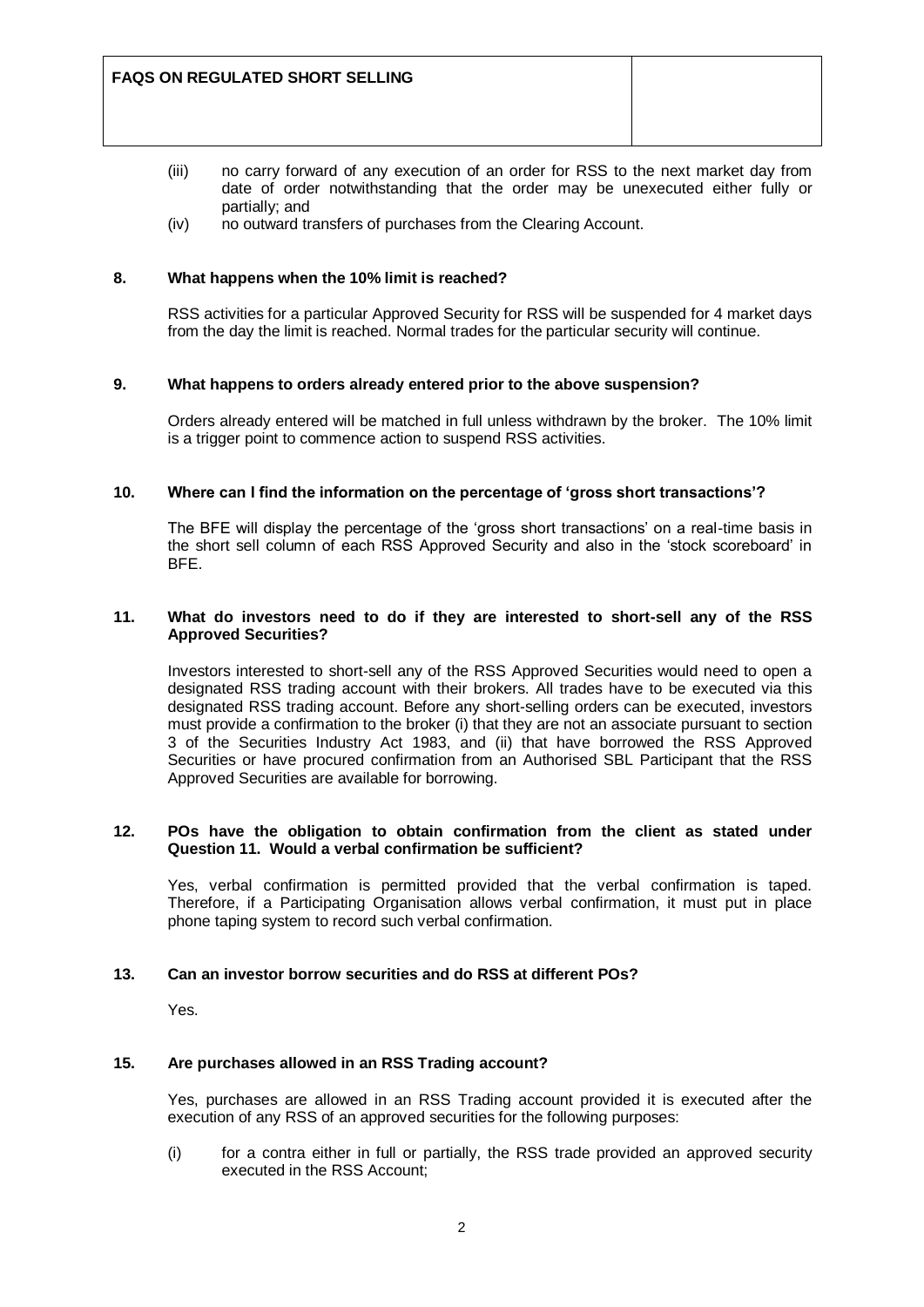- (iii) no carry forward of any execution of an order for RSS to the next market day from date of order notwithstanding that the order may be unexecuted either fully or partially; and
- (iv) no outward transfers of purchases from the Clearing Account.

#### **8. What happens when the 10% limit is reached?**

RSS activities for a particular Approved Security for RSS will be suspended for 4 market days from the day the limit is reached. Normal trades for the particular security will continue.

#### **9. What happens to orders already entered prior to the above suspension?**

Orders already entered will be matched in full unless withdrawn by the broker. The 10% limit is a trigger point to commence action to suspend RSS activities.

#### **10. Where can I find the information on the percentage of "gross short transactions"?**

The BFE will display the percentage of the "gross short transactions" on a real-time basis in the short sell column of each RSS Approved Security and also in the "stock scoreboard" in BFE.

#### **11. What do investors need to do if they are interested to short-sell any of the RSS Approved Securities?**

Investors interested to short-sell any of the RSS Approved Securities would need to open a designated RSS trading account with their brokers. All trades have to be executed via this designated RSS trading account. Before any short-selling orders can be executed, investors must provide a confirmation to the broker (i) that they are not an associate pursuant to section 3 of the Securities Industry Act 1983, and (ii) that have borrowed the RSS Approved Securities or have procured confirmation from an Authorised SBL Participant that the RSS Approved Securities are available for borrowing.

#### **12. POs have the obligation to obtain confirmation from the client as stated under Question 11. Would a verbal confirmation be sufficient?**

Yes, verbal confirmation is permitted provided that the verbal confirmation is taped. Therefore, if a Participating Organisation allows verbal confirmation, it must put in place phone taping system to record such verbal confirmation.

### **13. Can an investor borrow securities and do RSS at different POs?**

Yes.

## **15. Are purchases allowed in an RSS Trading account?**

Yes, purchases are allowed in an RSS Trading account provided it is executed after the execution of any RSS of an approved securities for the following purposes:

(i) for a contra either in full or partially, the RSS trade provided an approved security executed in the RSS Account;